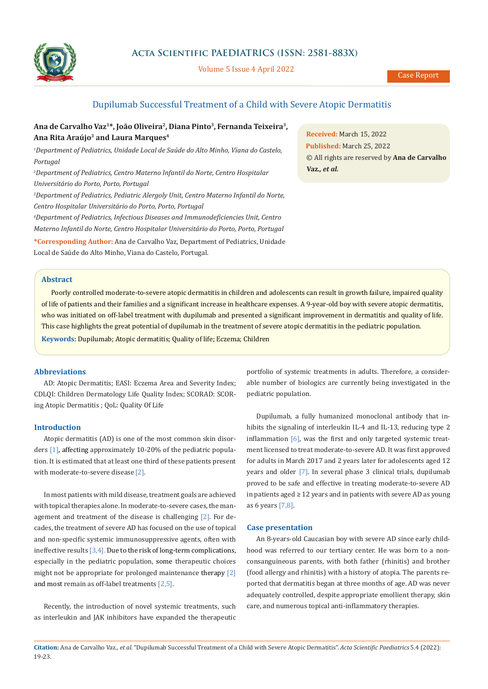

# **Acta Scientific PAEDIATRICS (ISSN: 2581-883X)**

Volume 5 Issue 4 April 2022

## Dupilumab Successful Treatment of a Child with Severe Atopic Dermatitis

# Ana de Carvalho Vaz<sup>1\*</sup>, João Oliveira<sup>2</sup>, Diana Pinto<sup>3</sup>, Fernanda Teixeira<sup>3</sup>, **Ana Rita Araújo3 and Laura Marques4**

*1 Department of Pediatrics, Unidade Local de Saúde do Alto Minho, Viana do Castelo, Portugal*

<sup>2</sup> Department of Pediatrics, Centro Materno Infantil do Norte, Centro Hospitalar *Universitário do Porto, Porto, Portugal*

*3 Department of Pediatrics, Pediatric Alergoly Unit, Centro Materno Infantil do Norte,* 

*Centro Hospitalar Universitário do Porto, Porto, Portugal*

*4 Department of Pediatrics, Infectious Diseases and Immunodeficiencies Unit, Centro Materno Infantil do Norte, Centro Hospitalar Universitário do Porto, Porto, Portugal* 

**\*Corresponding Author:** Ana de Carvalho Vaz, Department of Pediatrics, Unidade Local de Saúde do Alto Minho, Viana do Castelo, Portugal.

**Abstract**

Poorly controlled moderate-to-severe atopic dermatitis in children and adolescents can result in growth failure, impaired quality of life of patients and their families and a significant increase in healthcare expenses. A 9-year-old boy with severe atopic dermatitis, who was initiated on off-label treatment with dupilumab and presented a significant improvement in dermatitis and quality of life. This case highlights the great potential of dupilumab in the treatment of severe atopic dermatitis in the pediatric population.

**Keywords:** Dupilumab; Atopic dermatitis; Quality of life; Eczema; Children

#### **Abbreviations**

AD: Atopic Dermatitis; EASI: Eczema Area and Severity Index; CDLQI: Children Dermatology Life Quality Index; SCORAD: SCORing Atopic Dermatitis ; QoL: Quality Of Life

#### **Introduction**

Atopic dermatitis (AD) is one of the most common skin disorders [1], affecting approximately 10-20% of the pediatric population. It is estimated that at least one third of these patients present with moderate-to-severe disease [2].

In most patients with mild disease, treatment goals are achieved with topical therapies alone. In moderate-to-severe cases, the management and treatment of the disease is challenging [2]. For decades, the treatment of severe AD has focused on the use of topical and non-specific systemic immunosuppressive agents, often with ineffective results [3,4]. Due to the risk of long-term complications, especially in the pediatric population, some therapeutic choices might not be appropriate for prolonged maintenance therapy [2] and most remain as off-label treatments [2,5].

Recently, the introduction of novel systemic treatments, such as interleukin and JAK inhibitors have expanded the therapeutic

portfolio of systemic treatments in adults. Therefore, a considerable number of biologics are currently being investigated in the pediatric population.

Dupilumab, a fully humanized monoclonal antibody that inhibits the signaling of interleukin IL-4 and IL-13, reducing type 2 inflammation  $[6]$ , was the first and only targeted systemic treatment licensed to treat moderate-to-severe AD. It was first approved for adults in March 2017 and 2 years later for adolescents aged 12 years and older [7]. In several phase 3 clinical trials, dupilumab proved to be safe and effective in treating moderate-to-severe AD in patients aged ≥ 12 years and in patients with severe AD as young as 6 years [7,8].

#### **Case presentation**

An 8-years-old Caucasian boy with severe AD since early childhood was referred to our tertiary center. He was born to a nonconsanguineous parents, with both father (rhinitis) and brother (food allergy and rhinitis) with a history of atopia. The parents reported that dermatitis began at three months of age. AD was never adequately controlled, despite appropriate emollient therapy, skin care, and numerous topical anti-inflammatory therapies.

**Received:** March 15, 2022 **Published:** March 25, 2022 © All rights are reserved by **Ana de Carvalho Vaz***., et al.*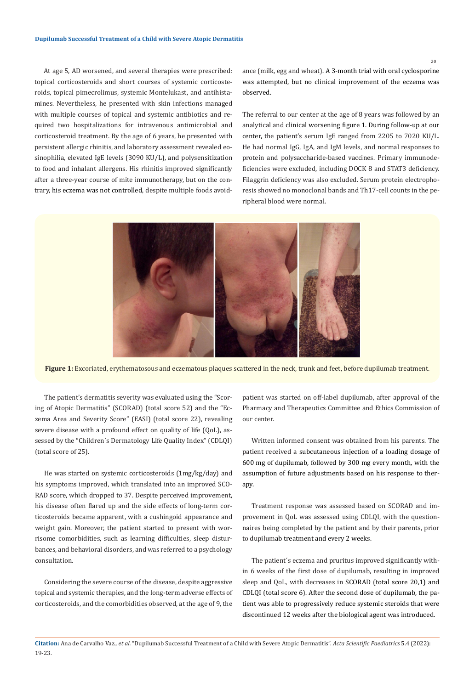At age 5, AD worsened, and several therapies were prescribed: topical corticosteroids and short courses of systemic corticosteroids, topical pimecrolimus, systemic Montelukast, and antihistamines. Nevertheless, he presented with skin infections managed with multiple courses of topical and systemic antibiotics and required two hospitalizations for intravenous antimicrobial and corticosteroid treatment. By the age of 6 years, he presented with persistent allergic rhinitis, and laboratory assessment revealed eosinophilia, elevated IgE levels (3090 KU/L), and polysensitization to food and inhalant allergens. His rhinitis improved significantly after a three-year course of mite immunotherapy, but on the contrary, his eczema was not controlled, despite multiple foods avoidance (milk, egg and wheat). A 3-month trial with oral cyclosporine was attempted, but no clinical improvement of the eczema was observed.

The referral to our center at the age of 8 years was followed by an analytical and clinical worsening figure 1. During follow-up at our center, the patient's serum IgE ranged from 2205 to 7020 KU/L. He had normal IgG, IgA, and IgM levels, and normal responses to protein and polysaccharide-based vaccines. Primary immunodeficiencies were excluded, including DOCK 8 and STAT3 deficiency. Filaggrin deficiency was also excluded. Serum protein electrophoresis showed no monoclonal bands and Th17-cell counts in the peripheral blood were normal.



**Figure 1:** Excoriated, erythematosous and eczematous plaques scattered in the neck, trunk and feet, before dupilumab treatment.

The patient's dermatitis severity was evaluated using the "Scoring of Atopic Dermatitis" (SCORAD) (total score 52) and the "Eczema Area and Severity Score" (EASI) (total score 22), revealing severe disease with a profound effect on quality of life (QoL), assessed by the "Children´s Dermatology Life Quality Index" (CDLQI) (total score of 25).

He was started on systemic corticosteroids (1mg/kg/day) and his symptoms improved, which translated into an improved SCO-RAD score, which dropped to 37. Despite perceived improvement, his disease often flared up and the side effects of long-term corticosteroids became apparent, with a cushingoid appearance and weight gain. Moreover, the patient started to present with worrisome comorbidities, such as learning difficulties, sleep disturbances, and behavioral disorders, and was referred to a psychology consultation.

Considering the severe course of the disease, despite aggressive topical and systemic therapies, and the long-term adverse effects of corticosteroids, and the comorbidities observed, at the age of 9, the patient was started on off-label dupilumab, after approval of the Pharmacy and Therapeutics Committee and Ethics Commission of our center.

Written informed consent was obtained from his parents. The patient received a subcutaneous injection of a loading dosage of 600 mg of dupilumab, followed by 300 mg every month, with the assumption of future adjustments based on his response to therapy.

Treatment response was assessed based on SCORAD and improvement in QoL was assessed using CDLQI, with the questionnaires being completed by the patient and by their parents, prior to dupilumab treatment and every 2 weeks.

The patient´s eczema and pruritus improved significantly within 6 weeks of the first dose of dupilumab, resulting in improved sleep and QoL, with decreases in SCORAD (total score 20,1) and CDLQI (total score 6). After the second dose of dupilumab, the patient was able to progressively reduce systemic steroids that were discontinued 12 weeks after the biological agent was introduced.

20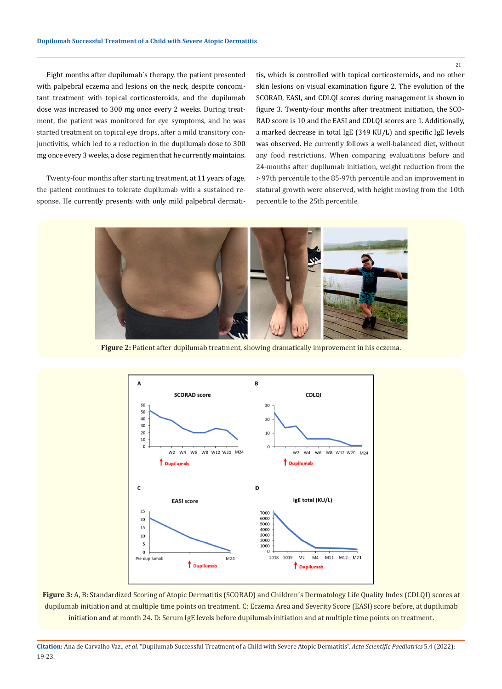Eight months after dupilumab´s therapy, the patient presented with palpebral eczema and lesions on the neck, despite concomitant treatment with topical corticosteroids, and the dupilumab dose was increased to 300 mg once every 2 weeks. During treatment, the patient was monitored for eye symptoms, and he was started treatment on topical eye drops, after a mild transitory conjunctivitis, which led to a reduction in the dupilumab dose to 300 mg once every 3 weeks, a dose regimen that he currently maintains.

Twenty-four months after starting treatment, at 11 years of age, the patient continues to tolerate dupilumab with a sustained response. He currently presents with only mild palpebral dermatitis, which is controlled with topical corticosteroids, and no other skin lesions on visual examination figure 2. The evolution of the SCORAD, EASI, and CDLQI scores during management is shown in figure 3. Twenty-four months after treatment initiation, the SCO-RAD score is 10 and the EASI and CDLQI scores are 1. Additionally, a marked decrease in total IgE (349 KU/L) and specific IgE levels was observed. He currently follows a well-balanced diet, without any food restrictions. When comparing evaluations before and 24-months after dupilumab initiation, weight reduction from the > 97th percentile to the 85-97th percentile and an improvement in statural growth were observed, with height moving from the 10th percentile to the 25th percentile.



**Figure 2:** Patient after dupilumab treatment, showing dramatically improvement in his eczema.





21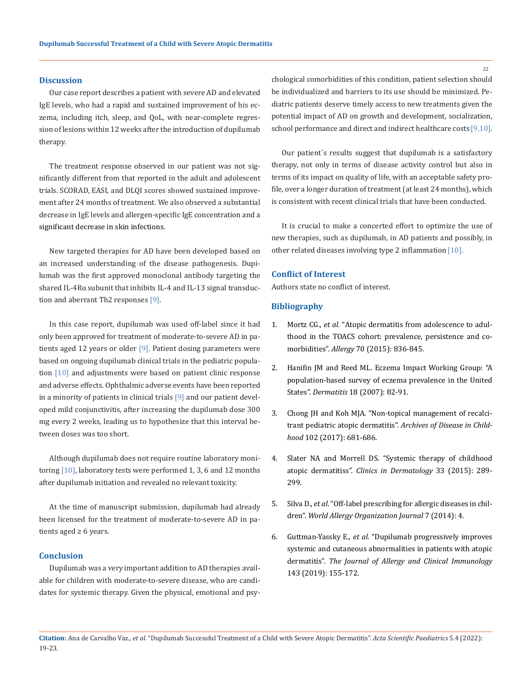#### **Discussion**

Our case report describes a patient with severe AD and elevated IgE levels, who had a rapid and sustained improvement of his eczema, including itch, sleep, and QoL, with near-complete regression of lesions within 12 weeks after the introduction of dupilumab therapy.

The treatment response observed in our patient was not significantly different from that reported in the adult and adolescent trials. SCORAD, EASI, and DLQI scores showed sustained improvement after 24 months of treatment. We also observed a substantial decrease in IgE levels and allergen-specific IgE concentration and a significant decrease in skin infections.

New targeted therapies for AD have been developed based on an increased understanding of the disease pathogenesis. Dupilumab was the first approved monoclonal antibody targeting the shared IL-4Rα subunit that inhibits IL-4 and IL-13 signal transduction and aberrant Th2 responses [9].

In this case report, dupilumab was used off-label since it had only been approved for treatment of moderate-to-severe AD in patients aged 12 years or older [9]. Patient dosing parameters were based on ongoing dupilumab clinical trials in the pediatric population [10] and adjustments were based on patient clinic response and adverse effects. Ophthalmic adverse events have been reported in a minority of patients in clinical trials [9] and our patient developed mild conjunctivitis, after increasing the dupilumab dose 300 mg every 2 weeks, leading us to hypothesize that this interval between doses was too short.

Although dupilumab does not require routine laboratory monitoring  $[10]$ , laboratory tests were performed 1, 3, 6 and 12 months after dupilumab initiation and revealed no relevant toxicity.

At the time of manuscript submission, dupilumab had already been licensed for the treatment of moderate-to-severe AD in patients aged  $\geq 6$  years.

#### **Conclusion**

Dupilumab was a very important addition to AD therapies available for children with moderate-to-severe disease, who are candidates for systemic therapy. Given the physical, emotional and psychological comorbidities of this condition, patient selection should be individualized and barriers to its use should be minimized. Pediatric patients deserve timely access to new treatments given the potential impact of AD on growth and development, socialization, school performance and direct and indirect healthcare costs [9,10].

Our patient´s results suggest that dupilumab is a satisfactory therapy, not only in terms of disease activity control but also in terms of its impact on quality of life, with an acceptable safety profile, over a longer duration of treatment (at least 24 months), which is consistent with recent clinical trials that have been conducted.

It is crucial to make a concerted effort to optimize the use of new therapies, such as dupilumab, in AD patients and possibly, in other related diseases involving type 2 inflammation[10].

#### **Conflict of Interest**

Authors state no conflict of interest.

### **Bibliography**

- 1. Mortz CG., *et al*[. "Atopic dermatitis from adolescence to adul](https://pubmed.ncbi.nlm.nih.gov/25832131/)[thood in the TOACS cohort: prevalence, persistence and co](https://pubmed.ncbi.nlm.nih.gov/25832131/)morbidities". *Allergy* [70 \(2015\): 836-845.](https://pubmed.ncbi.nlm.nih.gov/25832131/)
- 2. [Hanifin JM and Reed ML. Eczema Impact Working Group: "A](https://pubmed.ncbi.nlm.nih.gov/17498413/) [population-based survey of eczema prevalence in the United](https://pubmed.ncbi.nlm.nih.gov/17498413/) States". *Dermatitis* [18 \(2007\): 82-91.](https://pubmed.ncbi.nlm.nih.gov/17498413/)
- 3. [Chong JH and Koh MJA. "Non-topical management of recalci](https://adc.bmj.com/content/102/7/681)[trant pediatric atopic dermatitis".](https://adc.bmj.com/content/102/7/681) *Archives of Disease in Childhood* [102 \(2017\): 681-686.](https://adc.bmj.com/content/102/7/681)
- 4. [Slater NA and Morrell DS. "Systemic therapy of childhood](https://pubmed.ncbi.nlm.nih.gov/25889129/) atopic dermatitiss". *[Clinics in Dermatology](https://pubmed.ncbi.nlm.nih.gov/25889129/)* 33 (2015): 289- [299.](https://pubmed.ncbi.nlm.nih.gov/25889129/)
- 5. Silva D., *et al*[. "Off-label prescribing for allergic diseases in chil](https://pubmed.ncbi.nlm.nih.gov/23769737/)dren". *[World Allergy Organization Journal](https://pubmed.ncbi.nlm.nih.gov/23769737/)* 7 (2014): 4.
- 6. Guttman-Yassky E., *et al*[. "Dupilumab progressively improves](https://pubmed.ncbi.nlm.nih.gov/30194992/) [systemic and cutaneous abnormalities in patients with atopic](https://pubmed.ncbi.nlm.nih.gov/30194992/)  dermatitis". *[The Journal of Allergy and Clinical Immunology](https://pubmed.ncbi.nlm.nih.gov/30194992/)*  [143 \(2019\): 155-172.](https://pubmed.ncbi.nlm.nih.gov/30194992/)

22

**Citation:** Ana de Carvalho Vaz*., et al.* "Dupilumab Successful Treatment of a Child with Severe Atopic Dermatitis". *Acta Scientific Paediatrics* 5.4 (2022): 19-23.